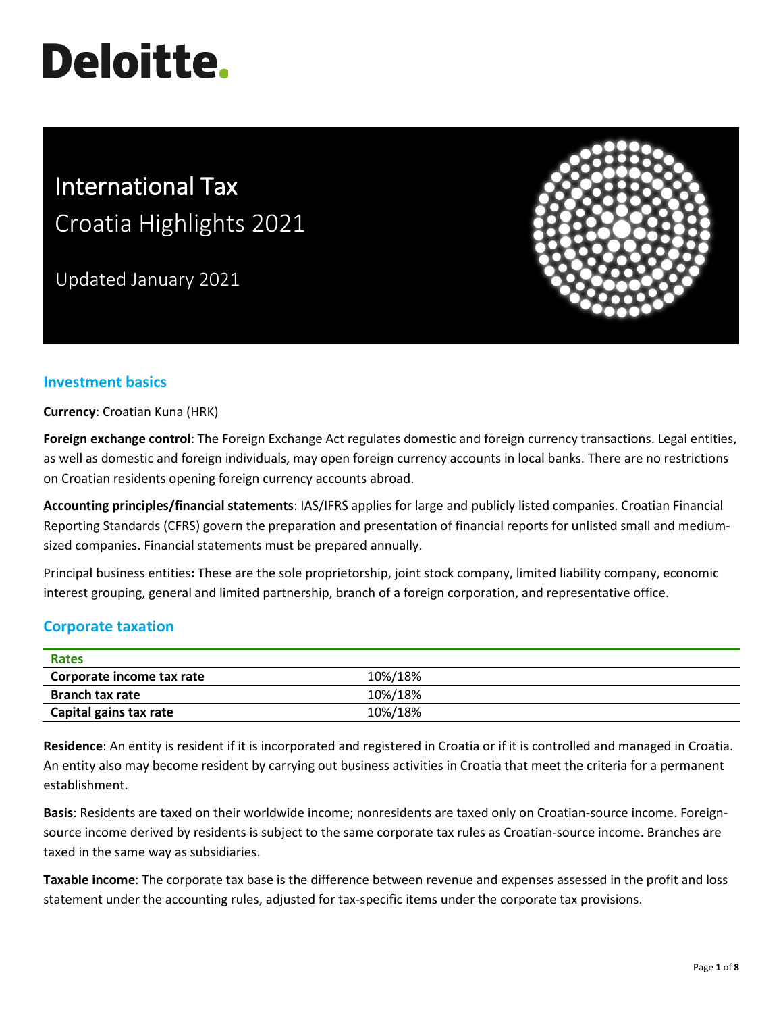# **Deloitte.**

# International Tax Croatia Highlights 2021

Updated January 2021



# **Investment basics**

**Currency**: Croatian Kuna (HRK)

**Foreign exchange control**: The Foreign Exchange Act regulates domestic and foreign currency transactions. Legal entities, as well as domestic and foreign individuals, may open foreign currency accounts in local banks. There are no restrictions on Croatian residents opening foreign currency accounts abroad.

**Accounting principles/financial statements**: IAS/IFRS applies for large and publicly listed companies. Croatian Financial Reporting Standards (CFRS) govern the preparation and presentation of financial reports for unlisted small and mediumsized companies. Financial statements must be prepared annually.

Principal business entities**:** These are the sole proprietorship, joint stock company, limited liability company, economic interest grouping, general and limited partnership, branch of a foreign corporation, and representative office.

## **Corporate taxation**

| <b>Rates</b>              |         |  |
|---------------------------|---------|--|
| Corporate income tax rate | 10%/18% |  |
| <b>Branch tax rate</b>    | 10%/18% |  |
| Capital gains tax rate    | 10%/18% |  |

**Residence**: An entity is resident if it is incorporated and registered in Croatia or if it is controlled and managed in Croatia. An entity also may become resident by carrying out business activities in Croatia that meet the criteria for a permanent establishment.

**Basis**: Residents are taxed on their worldwide income; nonresidents are taxed only on Croatian-source income. Foreignsource income derived by residents is subject to the same corporate tax rules as Croatian-source income. Branches are taxed in the same way as subsidiaries.

**Taxable income**: The corporate tax base is the difference between revenue and expenses assessed in the profit and loss statement under the accounting rules, adjusted for tax-specific items under the corporate tax provisions.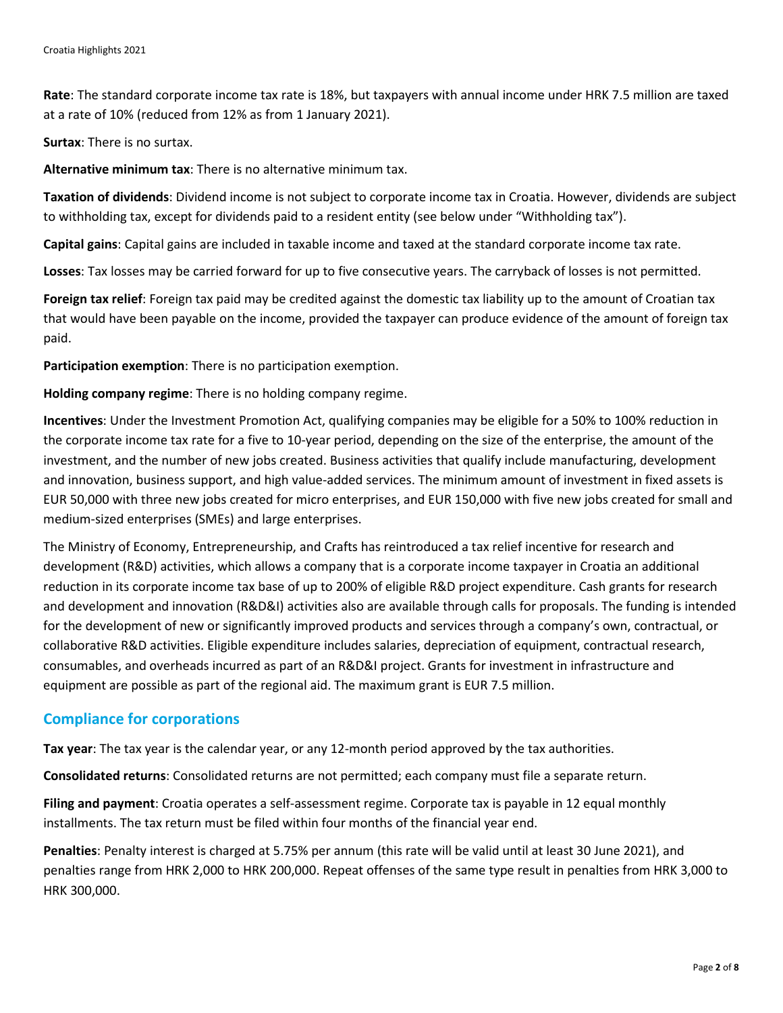**Rate**: The standard corporate income tax rate is 18%, but taxpayers with annual income under HRK 7.5 million are taxed at a rate of 10% (reduced from 12% as from 1 January 2021).

**Surtax**: There is no surtax.

**Alternative minimum tax**: There is no alternative minimum tax.

**Taxation of dividends**: Dividend income is not subject to corporate income tax in Croatia. However, dividends are subject to withholding tax, except for dividends paid to a resident entity (see below under "Withholding tax").

**Capital gains**: Capital gains are included in taxable income and taxed at the standard corporate income tax rate.

**Losses**: Tax losses may be carried forward for up to five consecutive years. The carryback of losses is not permitted.

**Foreign tax relief**: Foreign tax paid may be credited against the domestic tax liability up to the amount of Croatian tax that would have been payable on the income, provided the taxpayer can produce evidence of the amount of foreign tax paid.

**Participation exemption**: There is no participation exemption.

**Holding company regime**: There is no holding company regime.

**Incentives**: Under the Investment Promotion Act, qualifying companies may be eligible for a 50% to 100% reduction in the corporate income tax rate for a five to 10-year period, depending on the size of the enterprise, the amount of the investment, and the number of new jobs created. Business activities that qualify include manufacturing, development and innovation, business support, and high value-added services. The minimum amount of investment in fixed assets is EUR 50,000 with three new jobs created for micro enterprises, and EUR 150,000 with five new jobs created for small and medium-sized enterprises (SMEs) and large enterprises.

The Ministry of Economy, Entrepreneurship, and Crafts has reintroduced a tax relief incentive for research and development (R&D) activities, which allows a company that is a corporate income taxpayer in Croatia an additional reduction in its corporate income tax base of up to 200% of eligible R&D project expenditure. Cash grants for research and development and innovation (R&D&I) activities also are available through calls for proposals. The funding is intended for the development of new or significantly improved products and services through a company's own, contractual, or collaborative R&D activities. Eligible expenditure includes salaries, depreciation of equipment, contractual research, consumables, and overheads incurred as part of an R&D&I project. Grants for investment in infrastructure and equipment are possible as part of the regional aid. The maximum grant is EUR 7.5 million.

#### **Compliance for corporations**

**Tax year**: The tax year is the calendar year, or any 12-month period approved by the tax authorities.

**Consolidated returns**: Consolidated returns are not permitted; each company must file a separate return.

**Filing and payment**: Croatia operates a self-assessment regime. Corporate tax is payable in 12 equal monthly installments. The tax return must be filed within four months of the financial year end.

**Penalties**: Penalty interest is charged at 5.75% per annum (this rate will be valid until at least 30 June 2021), and penalties range from HRK 2,000 to HRK 200,000. Repeat offenses of the same type result in penalties from HRK 3,000 to HRK 300,000.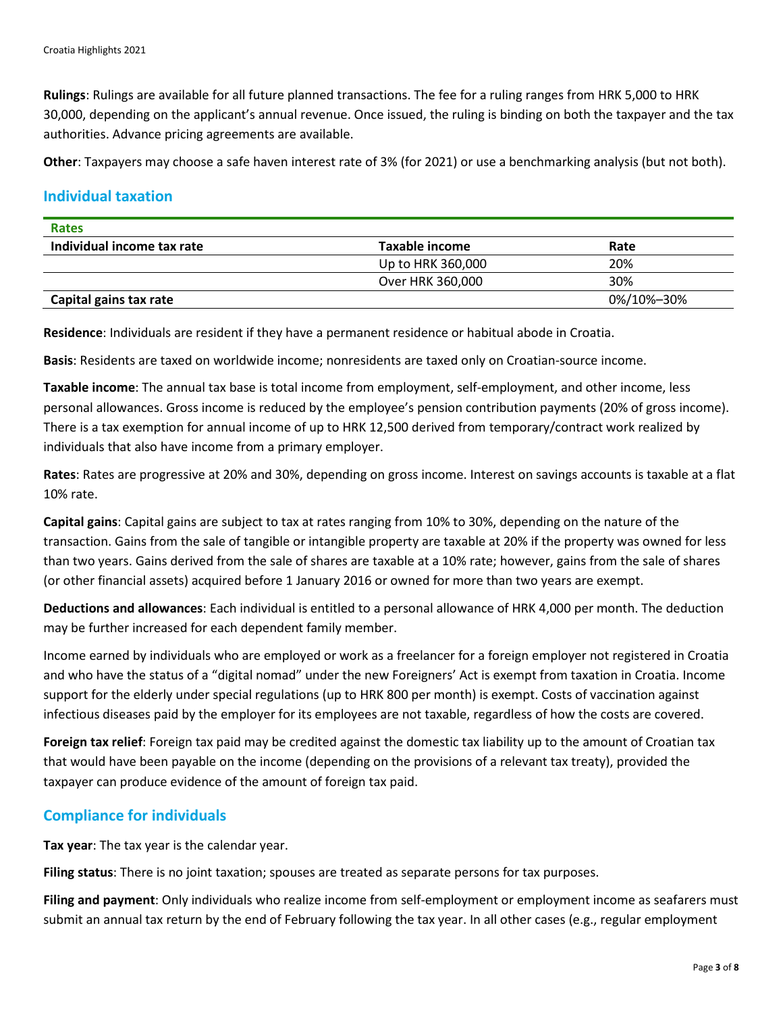**Rulings**: Rulings are available for all future planned transactions. The fee for a ruling ranges from HRK 5,000 to HRK 30,000, depending on the applicant's annual revenue. Once issued, the ruling is binding on both the taxpayer and the tax authorities. Advance pricing agreements are available.

**Other**: Taxpayers may choose a safe haven interest rate of 3% (for 2021) or use a benchmarking analysis (but not both).

#### **Individual taxation**

| <b>Rates</b>               |                   |            |  |  |
|----------------------------|-------------------|------------|--|--|
| Individual income tax rate | Taxable income    | Rate       |  |  |
|                            | Up to HRK 360,000 | 20%        |  |  |
|                            | Over HRK 360,000  | 30%        |  |  |
| Capital gains tax rate     |                   | 0%/10%-30% |  |  |

**Residence**: Individuals are resident if they have a permanent residence or habitual abode in Croatia.

**Basis**: Residents are taxed on worldwide income; nonresidents are taxed only on Croatian-source income.

**Taxable income**: The annual tax base is total income from employment, self-employment, and other income, less personal allowances. Gross income is reduced by the employee's pension contribution payments (20% of gross income). There is a tax exemption for annual income of up to HRK 12,500 derived from temporary/contract work realized by individuals that also have income from a primary employer.

**Rates**: Rates are progressive at 20% and 30%, depending on gross income. Interest on savings accounts is taxable at a flat 10% rate.

**Capital gains**: Capital gains are subject to tax at rates ranging from 10% to 30%, depending on the nature of the transaction. Gains from the sale of tangible or intangible property are taxable at 20% if the property was owned for less than two years. Gains derived from the sale of shares are taxable at a 10% rate; however, gains from the sale of shares (or other financial assets) acquired before 1 January 2016 or owned for more than two years are exempt.

**Deductions and allowances**: Each individual is entitled to a personal allowance of HRK 4,000 per month. The deduction may be further increased for each dependent family member.

Income earned by individuals who are employed or work as a freelancer for a foreign employer not registered in Croatia and who have the status of a "digital nomad" under the new Foreigners' Act is exempt from taxation in Croatia. Income support for the elderly under special regulations (up to HRK 800 per month) is exempt. Costs of vaccination against infectious diseases paid by the employer for its employees are not taxable, regardless of how the costs are covered.

**Foreign tax relief**: Foreign tax paid may be credited against the domestic tax liability up to the amount of Croatian tax that would have been payable on the income (depending on the provisions of a relevant tax treaty), provided the taxpayer can produce evidence of the amount of foreign tax paid.

#### **Compliance for individuals**

**Tax year**: The tax year is the calendar year.

**Filing status**: There is no joint taxation; spouses are treated as separate persons for tax purposes.

**Filing and payment**: Only individuals who realize income from self-employment or employment income as seafarers must submit an annual tax return by the end of February following the tax year. In all other cases (e.g., regular employment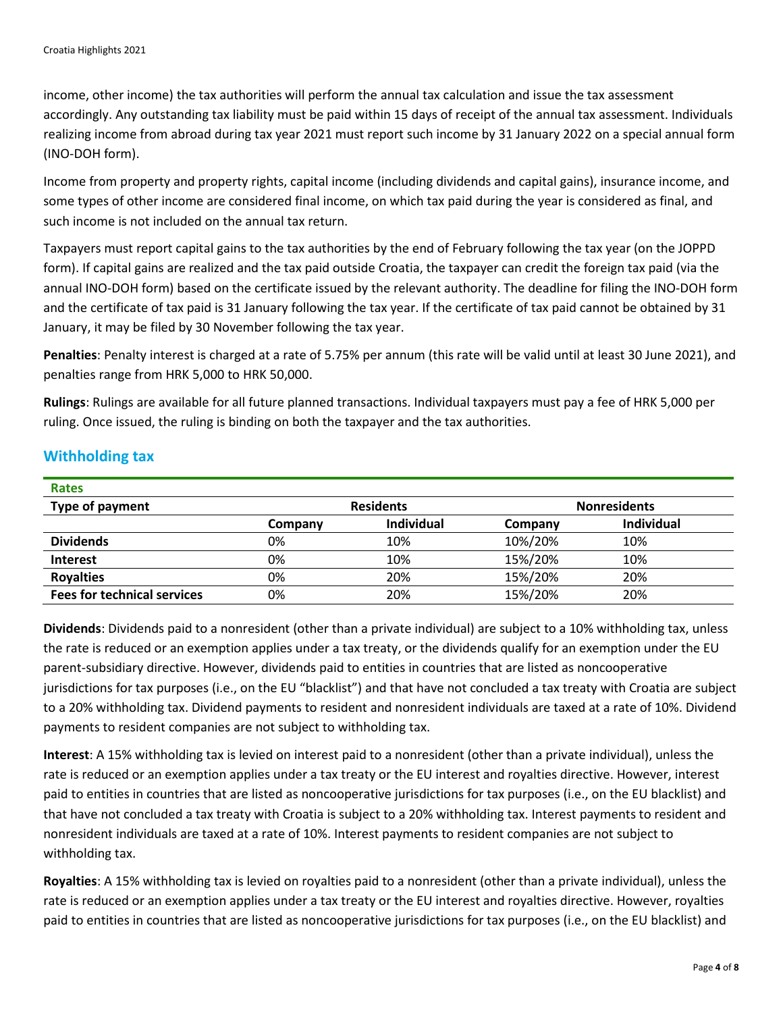income, other income) the tax authorities will perform the annual tax calculation and issue the tax assessment accordingly. Any outstanding tax liability must be paid within 15 days of receipt of the annual tax assessment. Individuals realizing income from abroad during tax year 2021 must report such income by 31 January 2022 on a special annual form (INO-DOH form).

Income from property and property rights, capital income (including dividends and capital gains), insurance income, and some types of other income are considered final income, on which tax paid during the year is considered as final, and such income is not included on the annual tax return.

Taxpayers must report capital gains to the tax authorities by the end of February following the tax year (on the JOPPD form). If capital gains are realized and the tax paid outside Croatia, the taxpayer can credit the foreign tax paid (via the annual INO-DOH form) based on the certificate issued by the relevant authority. The deadline for filing the INO-DOH form and the certificate of tax paid is 31 January following the tax year. If the certificate of tax paid cannot be obtained by 31 January, it may be filed by 30 November following the tax year.

**Penalties**: Penalty interest is charged at a rate of 5.75% per annum (this rate will be valid until at least 30 June 2021), and penalties range from HRK 5,000 to HRK 50,000.

**Rulings**: Rulings are available for all future planned transactions. Individual taxpayers must pay a fee of HRK 5,000 per ruling. Once issued, the ruling is binding on both the taxpayer and the tax authorities.

# **Withholding tax**

| <b>Rates</b>                       |                  |                   |                     |                   |
|------------------------------------|------------------|-------------------|---------------------|-------------------|
| <b>Type of payment</b>             | <b>Residents</b> |                   | <b>Nonresidents</b> |                   |
|                                    | Company          | <b>Individual</b> | Company             | <b>Individual</b> |
| <b>Dividends</b>                   | 0%               | 10%               | 10%/20%             | 10%               |
| <b>Interest</b>                    | 0%               | 10%               | 15%/20%             | 10%               |
| <b>Royalties</b>                   | 0%               | 20%               | 15%/20%             | 20%               |
| <b>Fees for technical services</b> | 0%               | 20%               | 15%/20%             | 20%               |

**Dividends**: Dividends paid to a nonresident (other than a private individual) are subject to a 10% withholding tax, unless the rate is reduced or an exemption applies under a tax treaty, or the dividends qualify for an exemption under the EU parent-subsidiary directive. However, dividends paid to entities in countries that are listed as noncooperative jurisdictions for tax purposes (i.e., on the EU "blacklist") and that have not concluded a tax treaty with Croatia are subject to a 20% withholding tax. Dividend payments to resident and nonresident individuals are taxed at a rate of 10%. Dividend payments to resident companies are not subject to withholding tax.

**Interest**: A 15% withholding tax is levied on interest paid to a nonresident (other than a private individual), unless the rate is reduced or an exemption applies under a tax treaty or the EU interest and royalties directive. However, interest paid to entities in countries that are listed as noncooperative jurisdictions for tax purposes (i.e., on the EU blacklist) and that have not concluded a tax treaty with Croatia is subject to a 20% withholding tax. Interest payments to resident and nonresident individuals are taxed at a rate of 10%. Interest payments to resident companies are not subject to withholding tax.

**Royalties**: A 15% withholding tax is levied on royalties paid to a nonresident (other than a private individual), unless the rate is reduced or an exemption applies under a tax treaty or the EU interest and royalties directive. However, royalties paid to entities in countries that are listed as noncooperative jurisdictions for tax purposes (i.e., on the EU blacklist) and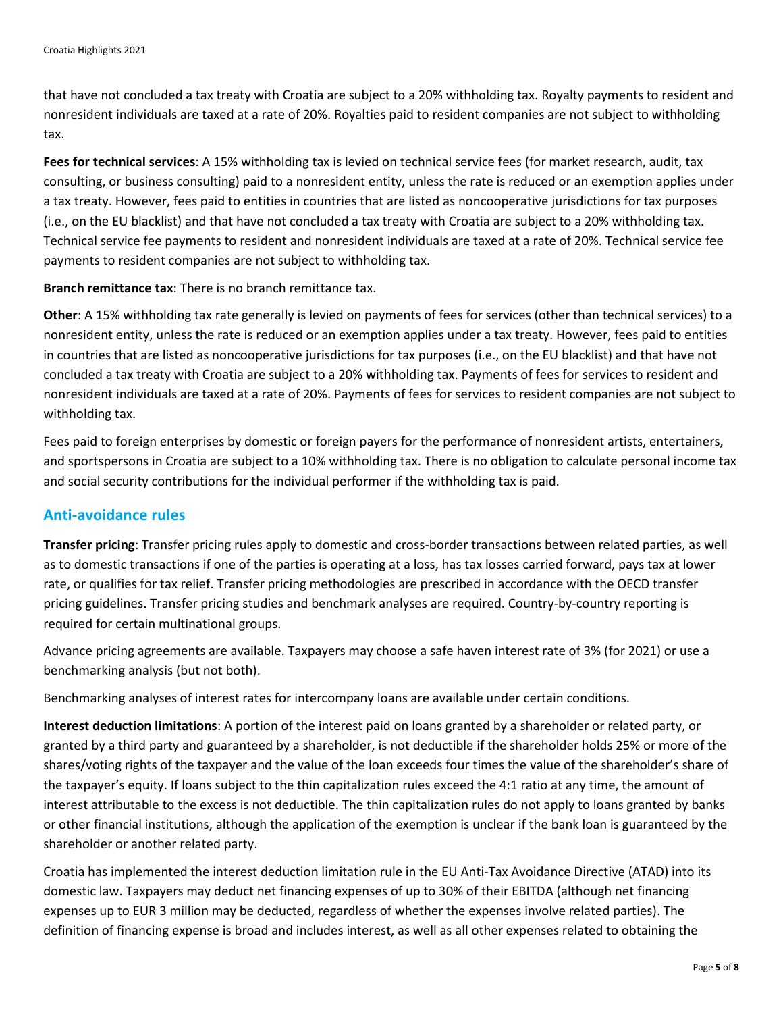that have not concluded a tax treaty with Croatia are subject to a 20% withholding tax. Royalty payments to resident and nonresident individuals are taxed at a rate of 20%. Royalties paid to resident companies are not subject to withholding tax.

**Fees for technical services**: A 15% withholding tax is levied on technical service fees (for market research, audit, tax consulting, or business consulting) paid to a nonresident entity, unless the rate is reduced or an exemption applies under a tax treaty. However, fees paid to entities in countries that are listed as noncooperative jurisdictions for tax purposes (i.e., on the EU blacklist) and that have not concluded a tax treaty with Croatia are subject to a 20% withholding tax. Technical service fee payments to resident and nonresident individuals are taxed at a rate of 20%. Technical service fee payments to resident companies are not subject to withholding tax.

**Branch remittance tax**: There is no branch remittance tax.

**Other**: A 15% withholding tax rate generally is levied on payments of fees for services (other than technical services) to a nonresident entity, unless the rate is reduced or an exemption applies under a tax treaty. However, fees paid to entities in countries that are listed as noncooperative jurisdictions for tax purposes (i.e., on the EU blacklist) and that have not concluded a tax treaty with Croatia are subject to a 20% withholding tax. Payments of fees for services to resident and nonresident individuals are taxed at a rate of 20%. Payments of fees for services to resident companies are not subject to withholding tax.

Fees paid to foreign enterprises by domestic or foreign payers for the performance of nonresident artists, entertainers, and sportspersons in Croatia are subject to a 10% withholding tax. There is no obligation to calculate personal income tax and social security contributions for the individual performer if the withholding tax is paid.

#### **Anti-avoidance rules**

**Transfer pricing**: Transfer pricing rules apply to domestic and cross-border transactions between related parties, as well as to domestic transactions if one of the parties is operating at a loss, has tax losses carried forward, pays tax at lower rate, or qualifies for tax relief. Transfer pricing methodologies are prescribed in accordance with the OECD transfer pricing guidelines. Transfer pricing studies and benchmark analyses are required. Country-by-country reporting is required for certain multinational groups.

Advance pricing agreements are available. Taxpayers may choose a safe haven interest rate of 3% (for 2021) or use a benchmarking analysis (but not both).

Benchmarking analyses of interest rates for intercompany loans are available under certain conditions.

**Interest deduction limitations**: A portion of the interest paid on loans granted by a shareholder or related party, or granted by a third party and guaranteed by a shareholder, is not deductible if the shareholder holds 25% or more of the shares/voting rights of the taxpayer and the value of the loan exceeds four times the value of the shareholder's share of the taxpayer's equity. If loans subject to the thin capitalization rules exceed the 4:1 ratio at any time, the amount of interest attributable to the excess is not deductible. The thin capitalization rules do not apply to loans granted by banks or other financial institutions, although the application of the exemption is unclear if the bank loan is guaranteed by the shareholder or another related party.

Croatia has implemented the interest deduction limitation rule in the EU Anti-Tax Avoidance Directive (ATAD) into its domestic law. Taxpayers may deduct net financing expenses of up to 30% of their EBITDA (although net financing expenses up to EUR 3 million may be deducted, regardless of whether the expenses involve related parties). The definition of financing expense is broad and includes interest, as well as all other expenses related to obtaining the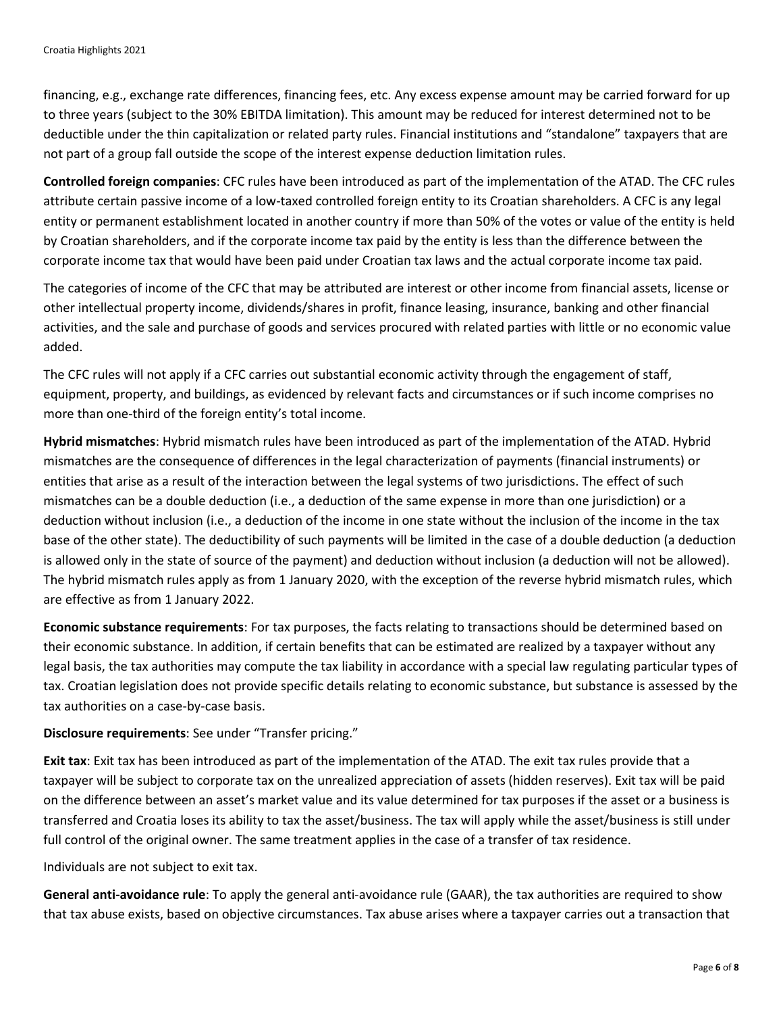financing, e.g., exchange rate differences, financing fees, etc. Any excess expense amount may be carried forward for up to three years (subject to the 30% EBITDA limitation). This amount may be reduced for interest determined not to be deductible under the thin capitalization or related party rules. Financial institutions and "standalone" taxpayers that are not part of a group fall outside the scope of the interest expense deduction limitation rules.

**Controlled foreign companies**: CFC rules have been introduced as part of the implementation of the ATAD. The CFC rules attribute certain passive income of a low-taxed controlled foreign entity to its Croatian shareholders. A CFC is any legal entity or permanent establishment located in another country if more than 50% of the votes or value of the entity is held by Croatian shareholders, and if the corporate income tax paid by the entity is less than the difference between the corporate income tax that would have been paid under Croatian tax laws and the actual corporate income tax paid.

The categories of income of the CFC that may be attributed are interest or other income from financial assets, license or other intellectual property income, dividends/shares in profit, finance leasing, insurance, banking and other financial activities, and the sale and purchase of goods and services procured with related parties with little or no economic value added.

The CFC rules will not apply if a CFC carries out substantial economic activity through the engagement of staff, equipment, property, and buildings, as evidenced by relevant facts and circumstances or if such income comprises no more than one-third of the foreign entity's total income.

**Hybrid mismatches**: Hybrid mismatch rules have been introduced as part of the implementation of the ATAD. Hybrid mismatches are the consequence of differences in the legal characterization of payments (financial instruments) or entities that arise as a result of the interaction between the legal systems of two jurisdictions. The effect of such mismatches can be a double deduction (i.e., a deduction of the same expense in more than one jurisdiction) or a deduction without inclusion (i.e., a deduction of the income in one state without the inclusion of the income in the tax base of the other state). The deductibility of such payments will be limited in the case of a double deduction (a deduction is allowed only in the state of source of the payment) and deduction without inclusion (a deduction will not be allowed). The hybrid mismatch rules apply as from 1 January 2020, with the exception of the reverse hybrid mismatch rules, which are effective as from 1 January 2022.

**Economic substance requirements**: For tax purposes, the facts relating to transactions should be determined based on their economic substance. In addition, if certain benefits that can be estimated are realized by a taxpayer without any legal basis, the tax authorities may compute the tax liability in accordance with a special law regulating particular types of tax. Croatian legislation does not provide specific details relating to economic substance, but substance is assessed by the tax authorities on a case-by-case basis.

**Disclosure requirements**: See under "Transfer pricing."

**Exit tax**: Exit tax has been introduced as part of the implementation of the ATAD. The exit tax rules provide that a taxpayer will be subject to corporate tax on the unrealized appreciation of assets (hidden reserves). Exit tax will be paid on the difference between an asset's market value and its value determined for tax purposes if the asset or a business is transferred and Croatia loses its ability to tax the asset/business. The tax will apply while the asset/business is still under full control of the original owner. The same treatment applies in the case of a transfer of tax residence.

Individuals are not subject to exit tax.

**General anti-avoidance rule**: To apply the general anti-avoidance rule (GAAR), the tax authorities are required to show that tax abuse exists, based on objective circumstances. Tax abuse arises where a taxpayer carries out a transaction that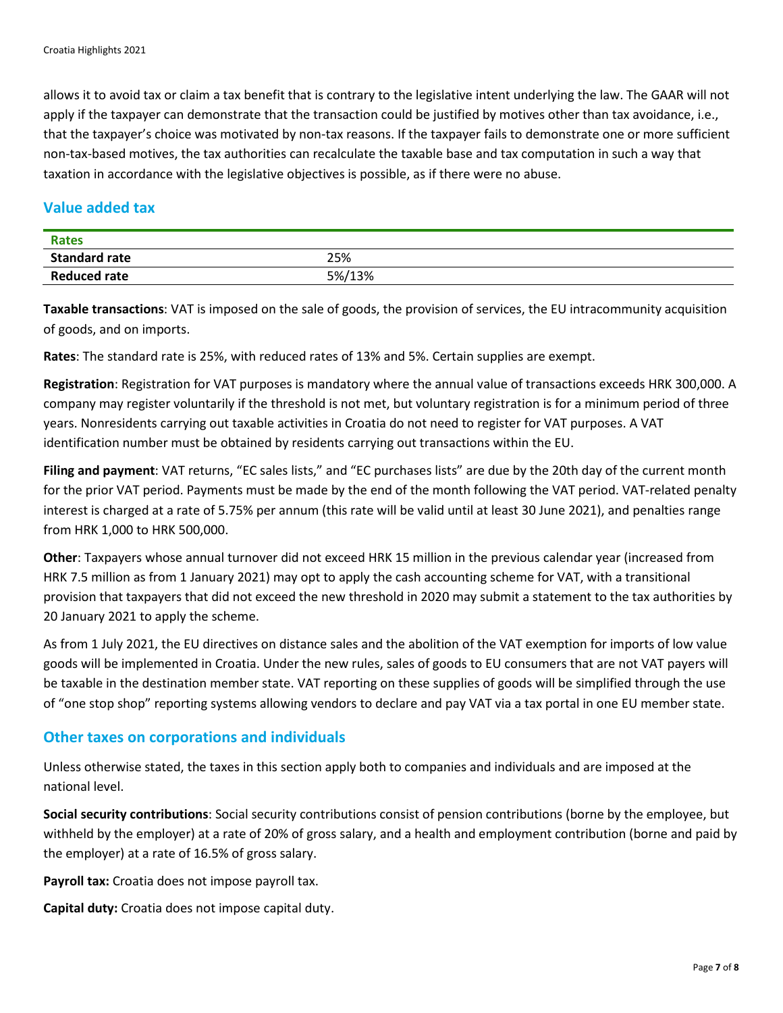allows it to avoid tax or claim a tax benefit that is contrary to the legislative intent underlying the law. The GAAR will not apply if the taxpayer can demonstrate that the transaction could be justified by motives other than tax avoidance, i.e., that the taxpayer's choice was motivated by non-tax reasons. If the taxpayer fails to demonstrate one or more sufficient non-tax-based motives, the tax authorities can recalculate the taxable base and tax computation in such a way that taxation in accordance with the legislative objectives is possible, as if there were no abuse.

## **Value added tax**

| <b>Rates</b>         |        |
|----------------------|--------|
| <b>Standard rate</b> | 25%    |
| <b>Reduced rate</b>  | 5%/13% |

**Taxable transactions**: VAT is imposed on the sale of goods, the provision of services, the EU intracommunity acquisition of goods, and on imports.

**Rates**: The standard rate is 25%, with reduced rates of 13% and 5%. Certain supplies are exempt.

**Registration**: Registration for VAT purposes is mandatory where the annual value of transactions exceeds HRK 300,000. A company may register voluntarily if the threshold is not met, but voluntary registration is for a minimum period of three years. Nonresidents carrying out taxable activities in Croatia do not need to register for VAT purposes. A VAT identification number must be obtained by residents carrying out transactions within the EU.

**Filing and payment**: VAT returns, "EC sales lists," and "EC purchases lists" are due by the 20th day of the current month for the prior VAT period. Payments must be made by the end of the month following the VAT period. VAT-related penalty interest is charged at a rate of 5.75% per annum (this rate will be valid until at least 30 June 2021), and penalties range from HRK 1,000 to HRK 500,000.

**Other**: Taxpayers whose annual turnover did not exceed HRK 15 million in the previous calendar year (increased from HRK 7.5 million as from 1 January 2021) may opt to apply the cash accounting scheme for VAT, with a transitional provision that taxpayers that did not exceed the new threshold in 2020 may submit a statement to the tax authorities by 20 January 2021 to apply the scheme.

As from 1 July 2021, the EU directives on distance sales and the abolition of the VAT exemption for imports of low value goods will be implemented in Croatia. Under the new rules, sales of goods to EU consumers that are not VAT payers will be taxable in the destination member state. VAT reporting on these supplies of goods will be simplified through the use of "one stop shop" reporting systems allowing vendors to declare and pay VAT via a tax portal in one EU member state.

#### **Other taxes on corporations and individuals**

Unless otherwise stated, the taxes in this section apply both to companies and individuals and are imposed at the national level.

**Social security contributions**: Social security contributions consist of pension contributions (borne by the employee, but withheld by the employer) at a rate of 20% of gross salary, and a health and employment contribution (borne and paid by the employer) at a rate of 16.5% of gross salary.

**Payroll tax:** Croatia does not impose payroll tax.

**Capital duty:** Croatia does not impose capital duty.